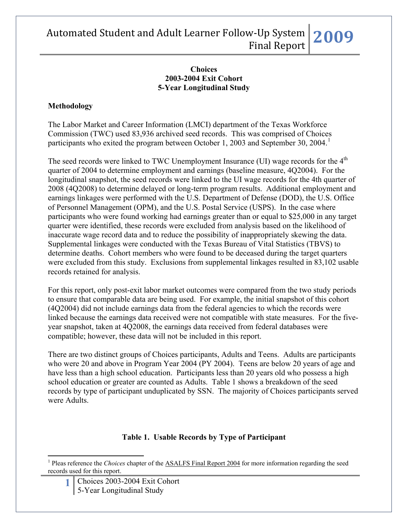#### **Choices 2003-2004 Exit Cohort 5-Year Longitudinal Study**

### **Methodology**

The Labor Market and Career Information (LMCI) department of the Texas Workforce Commission (TWC) used 83,936 archived seed records. This was comprised of Choices participants who exited the program between October [1](#page-0-0), 2003 and September 30, 2004.<sup>1</sup>

The seed records were linked to TWC Unemployment Insurance (UI) wage records for the 4<sup>th</sup> quarter of 2004 to determine employment and earnings (baseline measure, 4Q2004). For the longitudinal snapshot, the seed records were linked to the UI wage records for the 4th quarter of 2008 (4Q2008) to determine delayed or long-term program results. Additional employment and earnings linkages were performed with the U.S. Department of Defense (DOD), the U.S. Office of Personnel Management (OPM), and the U.S. Postal Service (USPS). In the case where participants who were found working had earnings greater than or equal to \$25,000 in any target quarter were identified, these records were excluded from analysis based on the likelihood of inaccurate wage record data and to reduce the possibility of inappropriately skewing the data. Supplemental linkages were conducted with the Texas Bureau of Vital Statistics (TBVS) to determine deaths. Cohort members who were found to be deceased during the target quarters were excluded from this study. Exclusions from supplemental linkages resulted in 83,102 usable records retained for analysis.

For this report, only post-exit labor market outcomes were compared from the two study periods to ensure that comparable data are being used. For example, the initial snapshot of this cohort (4Q2004) did not include earnings data from the federal agencies to which the records were linked because the earnings data received were not compatible with state measures. For the fiveyear snapshot, taken at 4Q2008, the earnings data received from federal databases were compatible; however, these data will not be included in this report.

There are two distinct groups of Choices participants, Adults and Teens. Adults are participants who were 20 and above in Program Year 2004 (PY 2004). Teens are below 20 years of age and have less than a high school education. Participants less than 20 years old who possess a high school education or greater are counted as Adults. Table 1 shows a breakdown of the seed records by type of participant unduplicated by SSN. The majority of Choices participants served were Adults.

### **Table 1. Usable Records by Type of Participant**

**1** Choices 2003-2004 Exit Cohort 5-Year Longitudinal Study

 $\overline{a}$ 

<span id="page-0-0"></span><sup>&</sup>lt;sup>1</sup> Pleas reference the *Choices* chapter of the **ASALFS** Final Report 2004 for more information regarding the seed records used for this report.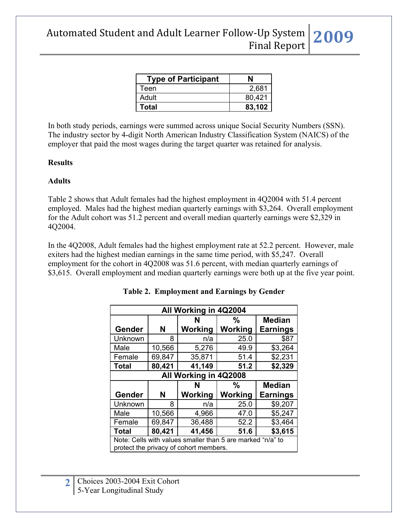| <b>Type of Participant</b> | N      |
|----------------------------|--------|
| Teen                       | 2,681  |
| Adult                      | 80,421 |
| Total                      | 83,102 |

In both study periods, earnings were summed across unique Social Security Numbers (SSN). The industry sector by 4-digit North American Industry Classification System (NAICS) of the employer that paid the most wages during the target quarter was retained for analysis.

#### **Results**

#### **Adults**

Table 2 shows that Adult females had the highest employment in 4Q2004 with 51.4 percent employed. Males had the highest median quarterly earnings with \$3,264. Overall employment for the Adult cohort was 51.2 percent and overall median quarterly earnings were \$2,329 in 4Q2004.

In the 4Q2008, Adult females had the highest employment rate at 52.2 percent. However, male exiters had the highest median earnings in the same time period, with \$5,247. Overall employment for the cohort in 4Q2008 was 51.6 percent, with median quarterly earnings of \$3,615. Overall employment and median quarterly earnings were both up at the five year point.

| All Working in 4Q2004                                                                                |        |              |                          |                                  |  |  |
|------------------------------------------------------------------------------------------------------|--------|--------------|--------------------------|----------------------------------|--|--|
| Gender                                                                                               | N      | N<br>Working | $\frac{0}{0}$<br>Working | <b>Median</b><br><b>Earnings</b> |  |  |
| Unknown                                                                                              | 8      | n/a          | 25.0                     | \$87                             |  |  |
|                                                                                                      |        |              |                          |                                  |  |  |
| Male                                                                                                 | 10,566 | 5,276        | 49.9                     | \$3,264                          |  |  |
| Female                                                                                               | 69,847 | 35,871       | 51.4                     | \$2,231                          |  |  |
| <b>Total</b>                                                                                         | 80,421 | 41,149       | 51.2                     | \$2,329                          |  |  |
| All Working in 4Q2008                                                                                |        |              |                          |                                  |  |  |
|                                                                                                      |        | N            | $\frac{0}{0}$            | <b>Median</b>                    |  |  |
| Gender                                                                                               | N      | Working      | Working                  | <b>Earnings</b>                  |  |  |
| Unknown                                                                                              | 8      | n/a          | 25.0                     | \$9,207                          |  |  |
| Male                                                                                                 | 10,566 | 4,966        | 47.0                     | \$5,247                          |  |  |
| Female                                                                                               | 69,847 | 36,488       | 52.2                     | \$3,464                          |  |  |
| <b>Total</b>                                                                                         | 80,421 | 41,456       | 51.6                     | \$3,615                          |  |  |
| Note: Cells with values smaller than 5 are marked "n/a" to<br>protect the privacy of cohort members. |        |              |                          |                                  |  |  |

| Table 2. Employment and Earnings by Gender |  |  |  |  |  |
|--------------------------------------------|--|--|--|--|--|
|--------------------------------------------|--|--|--|--|--|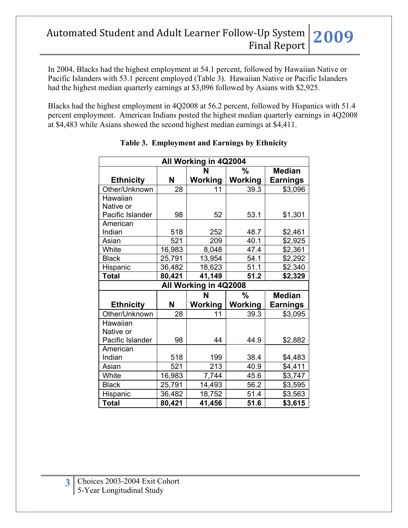In 2004, Blacks had the highest employment at 54.1 percent, followed by Hawaiian Native or Pacific Islanders with 53.1 percent employed (Table 3). Hawaiian Native or Pacific Islanders had the highest median quarterly earnings at \$3,096 followed by Asians with \$2,925.

Blacks had the highest employment in 4Q2008 at 56.2 percent, followed by Hispanics with 51.4 percent employment. American Indians posted the highest median quarterly earnings in 4Q2008 at \$4,483 while Asians showed the second highest median earnings at \$4,411.

|                  |        | All Working in 4Q2004 |                |                 |
|------------------|--------|-----------------------|----------------|-----------------|
|                  |        | N                     | %              | <b>Median</b>   |
| <b>Ethnicity</b> | N      | Working               | Working        | <b>Earnings</b> |
| Other/Unknown    | 28     | 11                    | 39.3           | \$3,096         |
| Hawaiian         |        |                       |                |                 |
| Native or        |        |                       |                |                 |
| Pacific Islander | 98     | 52                    | 53.1           | \$1,301         |
| American         |        |                       |                |                 |
| Indian           | 518    | 252                   | 48.7           | \$2,461         |
| Asian            | 521    | 209                   | 40.1           | \$2,925         |
| White            | 16,983 | 8,048                 | 47.4           | \$2,361         |
| <b>Black</b>     | 25,791 | 13,954                | 54.1           | \$2,292         |
| Hispanic         | 36,482 | 18,623                | 51.1           | \$2,340         |
| <b>Total</b>     | 80,421 | 41,149                | 51.2           | \$2,329         |
|                  |        | All Working in 4Q2008 |                |                 |
|                  |        | N                     | %              | <b>Median</b>   |
| <b>Ethnicity</b> | N      | Working               | <b>Working</b> | <b>Earnings</b> |
| Other/Unknown    | 28     | 11                    | 39.3           | \$3,095         |
| Hawaiian         |        |                       |                |                 |
| Native or        |        |                       |                |                 |
| Pacific Islander | 98     | 44                    | 44.9           | \$2,882         |
| American         |        |                       |                |                 |
| Indian           | 518    | 199                   | 38.4           | \$4,483         |
| Asian            | 521    | 213                   | 40.9           | \$4,411         |
| White            | 16,983 | 7,744                 | 45.6           | \$3,747         |
| <b>Black</b>     | 25,791 | 14,493                | 56.2           | \$3,595         |
| Hispanic         | 36,482 | 18,752                | 51.4           | \$3,563         |
| <b>Total</b>     | 80,421 | 41,456                | 51.6           | \$3,615         |

**Table 3. Employment and Earnings by Ethnicity**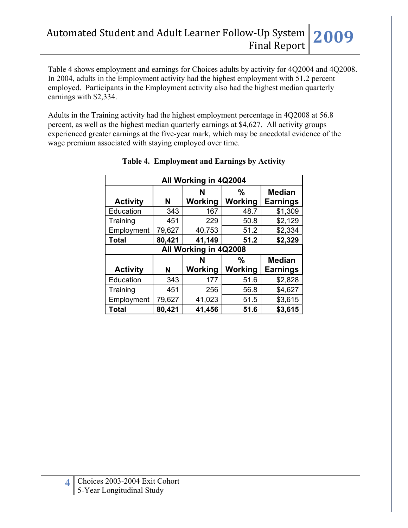Table 4 shows employment and earnings for Choices adults by activity for 4Q2004 and 4Q2008. In 2004, adults in the Employment activity had the highest employment with 51.2 percent employed. Participants in the Employment activity also had the highest median quarterly earnings with \$2,334.

Adults in the Training activity had the highest employment percentage in 4Q2008 at 56.8 percent, as well as the highest median quarterly earnings at \$4,627. All activity groups experienced greater earnings at the five-year mark, which may be anecdotal evidence of the wage premium associated with staying employed over time.

| All Working in 4Q2004 |        |                       |         |                 |  |  |
|-----------------------|--------|-----------------------|---------|-----------------|--|--|
|                       |        | N                     | %       | <b>Median</b>   |  |  |
| <b>Activity</b>       | N      | Working               | Working | <b>Earnings</b> |  |  |
| Education             | 343    | 167                   | 48.7    | \$1,309         |  |  |
| Training              | 451    | 229                   | 50.8    | \$2,129         |  |  |
| Employment            | 79,627 | 40,753                | 51.2    | \$2,334         |  |  |
| <b>Total</b>          | 80,421 | 41,149                | 51.2    | \$2,329         |  |  |
|                       |        | All Working in 4Q2008 |         |                 |  |  |
|                       |        | N                     | $\%$    | <b>Median</b>   |  |  |
| <b>Activity</b>       | N      | Working               | Working | <b>Earnings</b> |  |  |
| Education             | 343    | 177                   | 51.6    | \$2,828         |  |  |
| Training              | 451    | 256                   | 56.8    | \$4,627         |  |  |
| Employment            | 79,627 | 41,023                | 51.5    | \$3,615         |  |  |
| Total                 | 80,421 | 41,456                | 51.6    | \$3,615         |  |  |

### **Table 4. Employment and Earnings by Activity**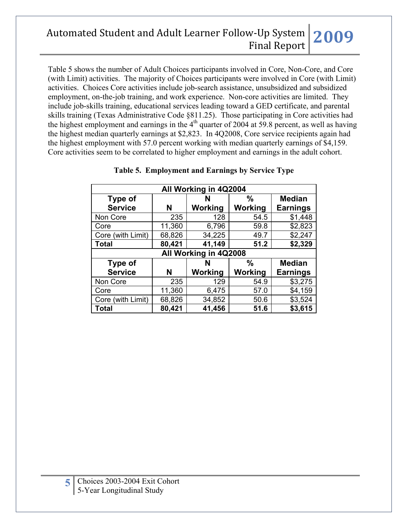Table 5 shows the number of Adult Choices participants involved in Core, Non-Core, and Core (with Limit) activities. The majority of Choices participants were involved in Core (with Limit) activities. Choices Core activities include job-search assistance, unsubsidized and subsidized employment, on-the-job training, and work experience. Non-core activities are limited. They include job-skills training, educational services leading toward a GED certificate, and parental skills training (Texas Administrative Code §811.25). Those participating in Core activities had the highest employment and earnings in the  $4<sup>th</sup>$  quarter of 2004 at 59.8 percent, as well as having the highest median quarterly earnings at \$2,823. In 4Q2008, Core service recipients again had the highest employment with 57.0 percent working with median quarterly earnings of \$4,159. Core activities seem to be correlated to higher employment and earnings in the adult cohort.

| All Working in 4Q2004 |        |                       |               |                 |  |  |
|-----------------------|--------|-----------------------|---------------|-----------------|--|--|
| Type of               |        | N                     | $\frac{0}{0}$ | <b>Median</b>   |  |  |
| <b>Service</b>        | N      | Working               | Working       | <b>Earnings</b> |  |  |
| Non Core              | 235    | 128                   | 54.5          | \$1,448         |  |  |
| Core                  | 11,360 | 6,796                 | 59.8          | \$2,823         |  |  |
| Core (with Limit)     | 68,826 | 34,225                | 49.7          | \$2,247         |  |  |
| <b>Total</b>          | 80,421 | 41,149                | 51.2          | \$2,329         |  |  |
|                       |        | All Working in 4Q2008 |               |                 |  |  |
| Type of               |        | N                     | $\%$          | <b>Median</b>   |  |  |
| <b>Service</b>        | N      | <b>Working</b>        | Working       | <b>Earnings</b> |  |  |
| Non Core              | 235    | 129                   | 54.9          | \$3,275         |  |  |
| Core                  | 11,360 | 6,475                 | 57.0          | \$4,159         |  |  |
| Core (with Limit)     | 68,826 | 34,852                | 50.6          | \$3,524         |  |  |
| <b>Total</b>          | 80,421 | 41,456                | 51.6          | \$3,615         |  |  |

### **Table 5. Employment and Earnings by Service Type**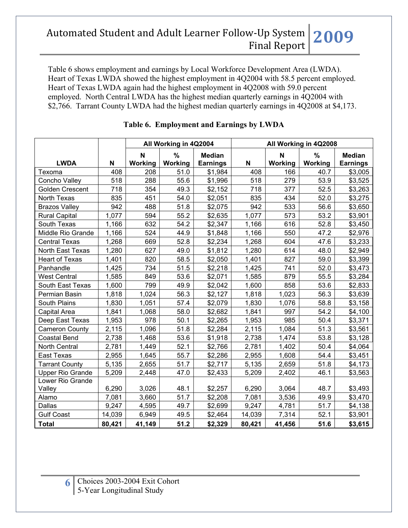Table 6 shows employment and earnings by Local Workforce Development Area (LWDA). Heart of Texas LWDA showed the highest employment in 4Q2004 with 58.5 percent employed. Heart of Texas LWDA again had the highest employment in 4Q2008 with 59.0 percent employed. North Central LWDA has the highest median quarterly earnings in 4Q2004 with \$2,766. Tarrant County LWDA had the highest median quarterly earnings in 4Q2008 at \$4,173.

|                            |        | All Working in 4Q2004 |                 |                                  |        | All Working in 4Q2008 |                 |                                  |
|----------------------------|--------|-----------------------|-----------------|----------------------------------|--------|-----------------------|-----------------|----------------------------------|
| <b>LWDA</b>                | N      | N<br>Working          | $\%$<br>Working | <b>Median</b><br><b>Earnings</b> | N      | N<br>Working          | $\%$<br>Working | <b>Median</b><br><b>Earnings</b> |
| Texoma                     | 408    | 208                   | 51.0            | \$1,984                          | 408    | 166                   | 40.7            | \$3,005                          |
| Concho Valley              | 518    | 288                   | 55.6            | \$1,996                          | 518    | 279                   | 53.9            | \$3,525                          |
| Golden Crescent            | 718    | 354                   | 49.3            | \$2,152                          | 718    | 377                   | 52.5            | \$3,263                          |
| North Texas                | 835    | 451                   | 54.0            | \$2,051                          | 835    | 434                   | 52.0            | \$3,275                          |
| <b>Brazos Valley</b>       | 942    | 488                   | 51.8            | \$2,075                          | 942    | 533                   | 56.6            | \$3,650                          |
| <b>Rural Capital</b>       | 1,077  | 594                   | 55.2            | \$2,635                          | 1,077  | 573                   | 53.2            | \$3,901                          |
| South Texas                | 1,166  | 632                   | 54.2            | \$2,347                          | 1,166  | 616                   | 52.8            | \$3,450                          |
| Middle Rio Grande          | 1,166  | 524                   | 44.9            | \$1,848                          | 1,166  | 550                   | 47.2            | \$2,976                          |
| <b>Central Texas</b>       | 1,268  | 669                   | 52.8            | \$2,234                          | 1,268  | 604                   | 47.6            | \$3,233                          |
| North East Texas           | 1,280  | 627                   | 49.0            | \$1,812                          | 1,280  | 614                   | 48.0            | \$2,949                          |
| <b>Heart of Texas</b>      | 1,401  | 820                   | 58.5            | \$2,050                          | 1,401  | 827                   | 59.0            | \$3,399                          |
| Panhandle                  | 1,425  | 734                   | 51.5            | \$2,218                          | 1,425  | 741                   | 52.0            | \$3,473                          |
| <b>West Central</b>        | 1,585  | 849                   | 53.6            | \$2,071                          | 1,585  | 879                   | 55.5            | \$3,284                          |
| South East Texas           | 1,600  | 799                   | 49.9            | \$2,042                          | 1,600  | 858                   | 53.6            | \$2,833                          |
| Permian Basin              | 1,818  | 1,024                 | 56.3            | \$2,127                          | 1,818  | 1,023                 | 56.3            | \$3,639                          |
| South Plains               | 1,830  | 1,051                 | 57.4            | \$2,079                          | 1,830  | 1,076                 | 58.8            | \$3,158                          |
| Capital Area               | 1,841  | 1,068                 | 58.0            | \$2,682                          | 1,841  | 997                   | 54.2            | \$4,100                          |
| Deep East Texas            | 1,953  | 978                   | 50.1            | \$2,265                          | 1,953  | 985                   | 50.4            | \$3,371                          |
| <b>Cameron County</b>      | 2,115  | 1,096                 | 51.8            | \$2,284                          | 2,115  | 1,084                 | 51.3            | \$3,561                          |
| <b>Coastal Bend</b>        | 2,738  | 1,468                 | 53.6            | \$1,918                          | 2,738  | 1,474                 | 53.8            | \$3,128                          |
| North Central              | 2,781  | 1,449                 | 52.1            | \$2,766                          | 2,781  | 1,402                 | 50.4            | \$4,064                          |
| East Texas                 | 2,955  | 1,645                 | 55.7            | \$2,286                          | 2,955  | 1,608                 | 54.4            | \$3,451                          |
| <b>Tarrant County</b>      | 5,135  | 2,655                 | 51.7            | \$2,717                          | 5,135  | 2,659                 | 51.8            | \$4,173                          |
| <b>Upper Rio Grande</b>    | 5,209  | 2,448                 | 47.0            | \$2,433                          | 5,209  | 2,402                 | 46.1            | \$3,563                          |
| Lower Rio Grande<br>Valley | 6,290  | 3,026                 | 48.1            | \$2,257                          | 6,290  | 3,064                 | 48.7            | \$3,493                          |
| Alamo                      | 7,081  | 3,660                 | 51.7            | \$2,208                          | 7,081  | 3,536                 | 49.9            | \$3,470                          |
| Dallas                     | 9,247  | 4,595                 | 49.7            | \$2,699                          | 9,247  | 4,781                 | 51.7            | \$4,138                          |
| <b>Gulf Coast</b>          | 14,039 | 6,949                 | 49.5            | \$2,464                          | 14,039 | 7,314                 | 52.1            | \$3,901                          |
| <b>Total</b>               | 80,421 | 41,149                | 51.2            | \$2,329                          | 80,421 | 41,456                | 51.6            | \$3,615                          |

### **Table 6. Employment and Earnings by LWDA**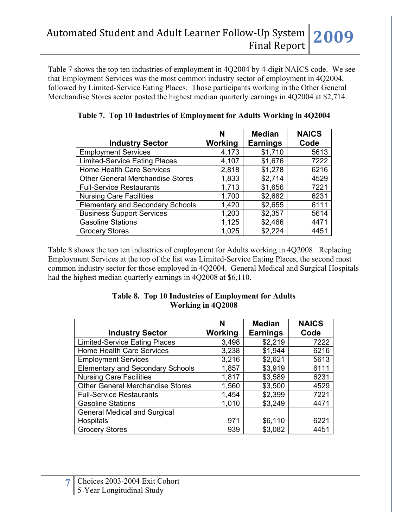Table 7 shows the top ten industries of employment in 4Q2004 by 4-digit NAICS code. We see that Employment Services was the most common industry sector of employment in 4Q2004, followed by Limited-Service Eating Places. Those participants working in the Other General Merchandise Stores sector posted the highest median quarterly earnings in 4Q2004 at \$2,714.

|                                         | N       | <b>Median</b>   | <b>NAICS</b> |
|-----------------------------------------|---------|-----------------|--------------|
| <b>Industry Sector</b>                  | Working | <b>Earnings</b> | Code         |
| <b>Employment Services</b>              | 4,173   | \$1,710         | 5613         |
| <b>Limited-Service Eating Places</b>    | 4,107   | \$1,676         | 7222         |
| <b>Home Health Care Services</b>        | 2,818   | \$1,278         | 6216         |
| <b>Other General Merchandise Stores</b> | 1,833   | \$2,714         | 4529         |
| <b>Full-Service Restaurants</b>         | 1,713   | \$1,656         | 7221         |
| <b>Nursing Care Facilities</b>          | 1,700   | \$2,682         | 6231         |
| <b>Elementary and Secondary Schools</b> | 1,420   | \$2,655         | 6111         |
| <b>Business Support Services</b>        | 1,203   | \$2,357         | 5614         |
| <b>Gasoline Stations</b>                | 1,125   | \$2,466         | 4471         |
| <b>Grocery Stores</b>                   | 1,025   | \$2,224         | 4451         |

**Table 7. Top 10 Industries of Employment for Adults Working in 4Q2004**

Table 8 shows the top ten industries of employment for Adults working in 4Q2008. Replacing Employment Services at the top of the list was Limited-Service Eating Places, the second most common industry sector for those employed in 4Q2004. General Medical and Surgical Hospitals had the highest median quarterly earnings in 4Q2008 at \$6,110.

### **Table 8. Top 10 Industries of Employment for Adults Working in 4Q2008**

|                                         | N       | <b>Median</b>   | <b>NAICS</b> |
|-----------------------------------------|---------|-----------------|--------------|
| <b>Industry Sector</b>                  | Working | <b>Earnings</b> | Code         |
| <b>Limited-Service Eating Places</b>    | 3,498   | \$2,219         | 7222         |
| <b>Home Health Care Services</b>        | 3,238   | \$1,944         | 6216         |
| <b>Employment Services</b>              | 3,216   | \$2,621         | 5613         |
| <b>Elementary and Secondary Schools</b> | 1,857   | \$3,919         | 6111         |
| <b>Nursing Care Facilities</b>          | 1,817   | \$3,589         | 6231         |
| <b>Other General Merchandise Stores</b> | 1,560   | \$3,500         | 4529         |
| <b>Full-Service Restaurants</b>         | 1,454   | \$2,399         | 7221         |
| <b>Gasoline Stations</b>                | 1,010   | \$3,249         | 4471         |
| <b>General Medical and Surgical</b>     |         |                 |              |
| Hospitals                               | 971     | \$6,110         | 6221         |
| <b>Grocery Stores</b>                   | 939     | \$3,082         | 4451         |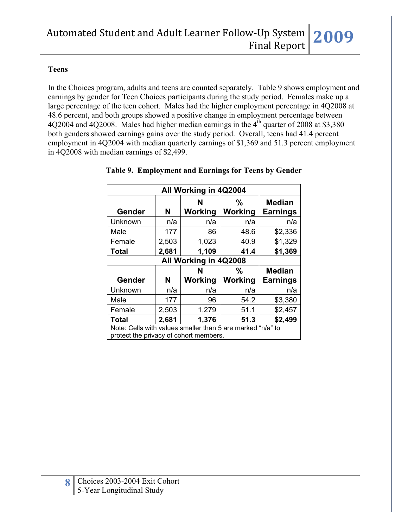#### **Teens**

In the Choices program, adults and teens are counted separately. Table 9 shows employment and earnings by gender for Teen Choices participants during the study period. Females make up a large percentage of the teen cohort. Males had the higher employment percentage in 4Q2008 at 48.6 percent, and both groups showed a positive change in employment percentage between  $4Q2004$  and  $4Q2008$ . Males had higher median earnings in the  $4<sup>th</sup>$  quarter of 2008 at \$3,380 both genders showed earnings gains over the study period. Overall, teens had 41.4 percent employment in 4Q2004 with median quarterly earnings of \$1,369 and 51.3 percent employment in 4Q2008 with median earnings of \$2,499.

| All Working in 4Q2004                                                                                |                       |              |              |                                  |  |  |
|------------------------------------------------------------------------------------------------------|-----------------------|--------------|--------------|----------------------------------|--|--|
| Gender                                                                                               | N                     | N<br>Working | %<br>Working | <b>Median</b><br><b>Earnings</b> |  |  |
| Unknown                                                                                              | n/a                   | n/a          | n/a          | n/a                              |  |  |
| Male                                                                                                 | 177                   | 86           | 48.6         | \$2,336                          |  |  |
| Female                                                                                               | 2,503                 | 1,023        | 40.9         | \$1,329                          |  |  |
| Total                                                                                                | 2,681                 | 1,109        | 41.4         | \$1,369                          |  |  |
|                                                                                                      | All Working in 4Q2008 |              |              |                                  |  |  |
|                                                                                                      |                       | N            | %            | <b>Median</b>                    |  |  |
| Gender                                                                                               | N                     | Working      | Working      | <b>Earnings</b>                  |  |  |
| Unknown                                                                                              | n/a                   | n/a          | n/a          | n/a                              |  |  |
| Male                                                                                                 | 177                   | 96           | 54.2         | \$3,380                          |  |  |
| Female                                                                                               | 2,503                 | 1,279        | 51.1         | \$2,457                          |  |  |
| \$2,499<br>2,681<br>1,376<br>51.3<br>Total                                                           |                       |              |              |                                  |  |  |
| Note: Cells with values smaller than 5 are marked "n/a" to<br>protect the privacy of cohort members. |                       |              |              |                                  |  |  |

#### **Table 9. Employment and Earnings for Teens by Gender**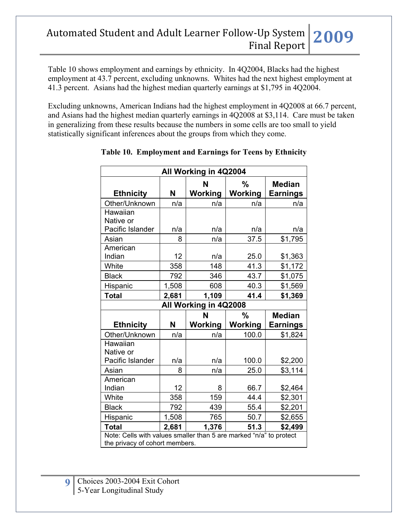Table 10 shows employment and earnings by ethnicity. In 4Q2004, Blacks had the highest employment at 43.7 percent, excluding unknowns. Whites had the next highest employment at 41.3 percent. Asians had the highest median quarterly earnings at \$1,795 in 4Q2004.

Excluding unknowns, American Indians had the highest employment in 4Q2008 at 66.7 percent, and Asians had the highest median quarterly earnings in 4Q2008 at \$3,114. Care must be taken in generalizing from these results because the numbers in some cells are too small to yield statistically significant inferences about the groups from which they come.

| All Working in 4Q2004 |                                                                                                      |                       |         |                 |  |  |
|-----------------------|------------------------------------------------------------------------------------------------------|-----------------------|---------|-----------------|--|--|
|                       |                                                                                                      | N                     | %       | <b>Median</b>   |  |  |
| <b>Ethnicity</b>      | N                                                                                                    | Working               | Working | <b>Earnings</b> |  |  |
| Other/Unknown         | n/a                                                                                                  | n/a                   | n/a     | n/a             |  |  |
| Hawaiian              |                                                                                                      |                       |         |                 |  |  |
| Native or             |                                                                                                      |                       |         |                 |  |  |
| Pacific Islander      | n/a                                                                                                  | n/a                   | n/a     | n/a             |  |  |
| Asian                 | 8                                                                                                    | n/a                   | 37.5    | \$1,795         |  |  |
| American              |                                                                                                      |                       |         |                 |  |  |
| Indian                | 12                                                                                                   | n/a                   | 25.0    | \$1,363         |  |  |
| White                 | 358                                                                                                  | 148                   | 41.3    | \$1,172         |  |  |
| <b>Black</b>          | 792                                                                                                  | 346                   | 43.7    | \$1,075         |  |  |
| Hispanic              | 1,508                                                                                                | 608                   | 40.3    | \$1,569         |  |  |
| <b>Total</b>          | 2,681                                                                                                | 1,109                 | 41.4    | \$1,369         |  |  |
|                       |                                                                                                      | All Working in 4Q2008 |         |                 |  |  |
|                       |                                                                                                      | N                     | %       | <b>Median</b>   |  |  |
| <b>Ethnicity</b>      | N                                                                                                    | Working               | Working | <b>Earnings</b> |  |  |
| Other/Unknown         | n/a                                                                                                  | n/a                   | 100.0   | \$1,824         |  |  |
| Hawaiian              |                                                                                                      |                       |         |                 |  |  |
| Native or             |                                                                                                      |                       |         |                 |  |  |
| Pacific Islander      | n/a                                                                                                  | n/a                   | 100.0   | \$2,200         |  |  |
| Asian                 | 8                                                                                                    | n/a                   | 25.0    | \$3,114         |  |  |
| American              |                                                                                                      |                       |         |                 |  |  |
| Indian                | 12                                                                                                   | 8                     | 66.7    | \$2,464         |  |  |
| White                 | 358                                                                                                  | 159                   | 44.4    | \$2,301         |  |  |
| <b>Black</b>          | 792                                                                                                  | 439                   | 55.4    | \$2,201         |  |  |
| Hispanic              | 1,508                                                                                                | 765                   | 50.7    | \$2,655         |  |  |
| <b>Total</b>          | 2,681                                                                                                | 1,376                 | 51.3    | \$2,499         |  |  |
|                       | Note: Cells with values smaller than 5 are marked "n/a" to protect<br>the privacy of cohort members. |                       |         |                 |  |  |

## **Table 10. Employment and Earnings for Teens by Ethnicity**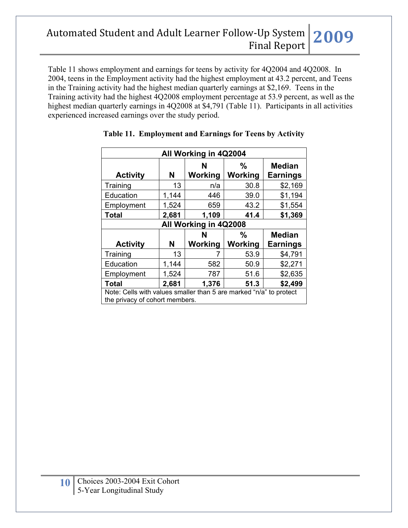Table 11 shows employment and earnings for teens by activity for 4Q2004 and 4Q2008. In 2004, teens in the Employment activity had the highest employment at 43.2 percent, and Teens in the Training activity had the highest median quarterly earnings at \$2,169. Teens in the Training activity had the highest 4Q2008 employment percentage at 53.9 percent, as well as the highest median quarterly earnings in 4Q2008 at \$4,791 (Table 11). Participants in all activities experienced increased earnings over the study period.

| All Working in 4Q2004                                                                                |                                   |              |              |                                  |  |  |
|------------------------------------------------------------------------------------------------------|-----------------------------------|--------------|--------------|----------------------------------|--|--|
| <b>Activity</b>                                                                                      | N                                 | N<br>Working | ℅<br>Working | <b>Median</b><br><b>Earnings</b> |  |  |
| Training                                                                                             | 13                                | n/a          | 30.8         | \$2,169                          |  |  |
| Education                                                                                            | 1,144                             | 446          | 39.0         | \$1,194                          |  |  |
| Employment                                                                                           | 1,524                             | 659          | 43.2         | \$1,554                          |  |  |
| <b>Total</b>                                                                                         | 2,681                             | 1,109        | 41.4         | \$1,369                          |  |  |
| All Working in 4Q2008                                                                                |                                   |              |              |                                  |  |  |
|                                                                                                      |                                   | N            | $\%$         | <b>Median</b>                    |  |  |
| <b>Activity</b>                                                                                      | N                                 | Working      | Working      | <b>Earnings</b>                  |  |  |
| Training                                                                                             | 13                                |              | 53.9         | \$4,791                          |  |  |
| Education                                                                                            | 1,144                             | 582          | 50.9         | \$2,271                          |  |  |
| Employment                                                                                           | 1,524                             | 787          | 51.6         | \$2,635                          |  |  |
| <b>Total</b>                                                                                         | 2,681<br>1,376<br>51.3<br>\$2,499 |              |              |                                  |  |  |
| Note: Cells with values smaller than 5 are marked "n/a" to protect<br>the privacy of cohort members. |                                   |              |              |                                  |  |  |

### **Table 11. Employment and Earnings for Teens by Activity**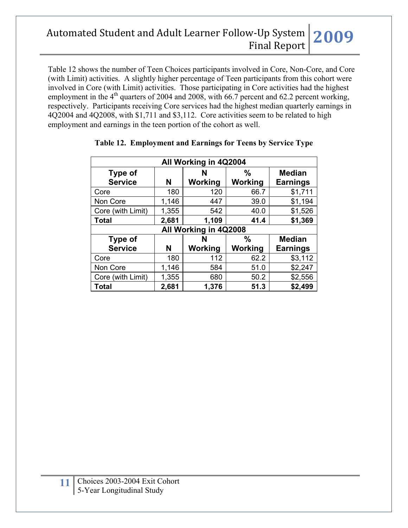Table 12 shows the number of Teen Choices participants involved in Core, Non-Core, and Core (with Limit) activities. A slightly higher percentage of Teen participants from this cohort were involved in Core (with Limit) activities. Those participating in Core activities had the highest employment in the  $4<sup>th</sup>$  quarters of 2004 and 2008, with 66.7 percent and 62.2 percent working, respectively. Participants receiving Core services had the highest median quarterly earnings in 4Q2004 and 4Q2008, with \$1,711 and \$3,112. Core activities seem to be related to high employment and earnings in the teen portion of the cohort as well.

| All Working in 4Q2004            |       |                     |                |                                  |  |  |  |
|----------------------------------|-------|---------------------|----------------|----------------------------------|--|--|--|
| <b>Type of</b><br><b>Service</b> | N     | N<br><b>Working</b> | %<br>Working   | <b>Median</b><br><b>Earnings</b> |  |  |  |
| Core                             | 180   | 120                 | 66.7           | \$1,711                          |  |  |  |
| Non Core                         | 1,146 | 447                 | 39.0           | \$1,194                          |  |  |  |
| Core (with Limit)                | 1,355 | 542                 | 40.0           | \$1,526                          |  |  |  |
| <b>Total</b>                     | 2,681 | 1,109               | 41.4           | \$1,369                          |  |  |  |
| All Working in 4Q2008            |       |                     |                |                                  |  |  |  |
| Type of                          |       | $\%$<br>N           |                | <b>Median</b>                    |  |  |  |
| <b>Service</b>                   | N     | <b>Working</b>      | <b>Working</b> | <b>Earnings</b>                  |  |  |  |
| Core                             | 180   | 112                 | 62.2           | \$3,112                          |  |  |  |
| Non Core                         | 1,146 | 584                 | 51.0           | \$2,247                          |  |  |  |
| Core (with Limit)                | 1,355 | 680                 | 50.2           | \$2,556                          |  |  |  |
| <b>Total</b>                     | 2,681 | 1,376               | 51.3           | \$2,499                          |  |  |  |

### **Table 12. Employment and Earnings for Teens by Service Type**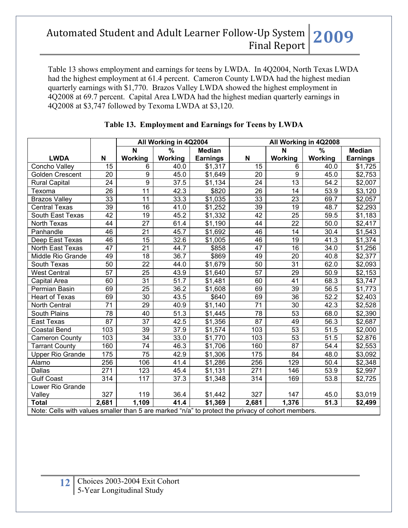Table 13 shows employment and earnings for teens by LWDA. In 4Q2004, North Texas LWDA had the highest employment at 61.4 percent. Cameron County LWDA had the highest median quarterly earnings with \$1,770. Brazos Valley LWDA showed the highest employment in 4Q2008 at 69.7 percent. Capital Area LWDA had the highest median quarterly earnings in 4Q2008 at \$3,747 followed by Texoma LWDA at \$3,120.

|                                                                                                   |                 | All Working in 4Q2004 |                   | All Working in 4Q2008 |                  |                 |                   |                 |
|---------------------------------------------------------------------------------------------------|-----------------|-----------------------|-------------------|-----------------------|------------------|-----------------|-------------------|-----------------|
|                                                                                                   |                 | N                     | $\%$              | <b>Median</b>         |                  | N               | $\%$              | <b>Median</b>   |
| <b>LWDA</b>                                                                                       | N               | Working               | Working           | <b>Earnings</b>       | N                | Working         | Working           | <b>Earnings</b> |
| Concho Valley                                                                                     | 15              | 6                     | 40.0              | \$1,317               | 15               | 6               | 40.0              | \$1,725         |
| <b>Golden Crescent</b>                                                                            | 20              | 9                     | 45.0              | \$1,649               | 20               | 9               | 45.0              | \$2,753         |
| <b>Rural Capital</b>                                                                              | 24              | 9                     | 37.5              | \$1,134               | 24               | $\overline{13}$ | 54.2              | \$2,007         |
| Texoma                                                                                            | 26              | 11                    | 42.3              | \$820                 | $\overline{26}$  | 14              | 53.9              | \$3,120         |
| <b>Brazos Valley</b>                                                                              | 33              | 11                    | 33.3              | \$1,035               | 33               | 23              | 69.7              | \$2,057         |
| <b>Central Texas</b>                                                                              | 39              | 16                    | 41.0              | \$1,252               | 39               | $\overline{19}$ | 48.7              | \$2,293         |
| South East Texas                                                                                  | 42              | 19                    | 45.2              | \$1,332               | 42               | 25              | 59.5              | \$1,183         |
| North Texas                                                                                       | 44              | 27                    | 61.4              | \$1,190               | 44               | $\overline{22}$ | 50.0              | \$2,417         |
| Panhandle                                                                                         | 46              | $\overline{21}$       | 45.7              | \$1,692               | 46               | 14              | 30.4              | \$1,543         |
| Deep East Texas                                                                                   | 46              | 15                    | 32.6              | \$1,005               | 46               | 19              | 41.3              | \$1,374         |
| North East Texas                                                                                  | 47              | 21                    | 44.7              | \$858                 | 47               | $\overline{16}$ | 34.0              | \$1,256         |
| Middle Rio Grande                                                                                 | 49              | $\overline{18}$       | $\overline{36.7}$ | \$869                 | 49               | $\overline{20}$ | 40.8              | \$2,377         |
| South Texas                                                                                       | 50              | 22                    | 44.0              | \$1,679               | 50               | 31              | 62.0              | \$2,093         |
| <b>West Central</b>                                                                               | $\overline{57}$ | 25                    | 43.9              | \$1,640               | $\overline{57}$  | 29              | 50.9              | \$2,153         |
| Capital Area                                                                                      | 60              | $\overline{31}$       | 51.7              | \$1,481               | 60               | 41              | 68.3              | \$3,747         |
| Permian Basin                                                                                     | 69              | $\overline{25}$       | 36.2              | \$1,608               | 69               | 39              | 56.5              | \$1,773         |
| <b>Heart of Texas</b>                                                                             | 69              | 30                    | 43.5              | \$640                 | 69               | $\overline{36}$ | 52.2              | \$2,403         |
| North Central                                                                                     | 71              | 29                    | 40.9              | \$1,140               | $\overline{71}$  | 30              | 42.3              | \$2,528         |
| South Plains                                                                                      | 78              | 40                    | 51.3              | \$1,445               | 78               | 53              | 68.0              | \$2,390         |
| East Texas                                                                                        | 87              | 37                    | 42.5              | \$1,356               | 87               | 49              | 56.3              | \$2,687         |
| <b>Coastal Bend</b>                                                                               | 103             | $\overline{39}$       | 37.9              | \$1,574               | 103              | 53              | $\overline{51.5}$ | \$2,000         |
| <b>Cameron County</b>                                                                             | 103             | 34                    | 33.0              | \$1,770               | 103              | $\overline{53}$ | 51.5              | \$2,876         |
| <b>Tarrant County</b>                                                                             | 160             | 74                    | 46.3              | \$1,706               | 160              | 87              | 54.4              | \$2,553         |
| <b>Upper Rio Grande</b>                                                                           | 175             | $\overline{75}$       | 42.9              | \$1,306               | 175              | 84              | 48.0              | \$3,092         |
| Alamo                                                                                             | 256             | 106                   | 41.4              | \$1,286               | 256              | 129             | 50.4              | \$2,348         |
| Dallas                                                                                            | 271             | 123                   | 45.4              | \$1,131               | 271              | 146             | 53.9              | \$2,997         |
| <b>Gulf Coast</b>                                                                                 | 314             | 117                   | 37.3              | \$1,348               | $\overline{314}$ | 169             | 53.8              | \$2,725         |
| Lower Rio Grande                                                                                  |                 |                       |                   |                       |                  |                 |                   |                 |
| Valley                                                                                            | 327             | 119                   | 36.4              | \$1,442               | 327              | 147             | 45.0              | \$3,019         |
| <b>Total</b>                                                                                      | 2,681           | 1,109                 | 41.4              | \$1,369               | 2,681            | 1,376           | 51.3              | \$2,499         |
| Note: Cells with values smaller than 5 are marked "n/a" to protect the privacy of cohort members. |                 |                       |                   |                       |                  |                 |                   |                 |

## **Table 13. Employment and Earnings for Teens by LWDA**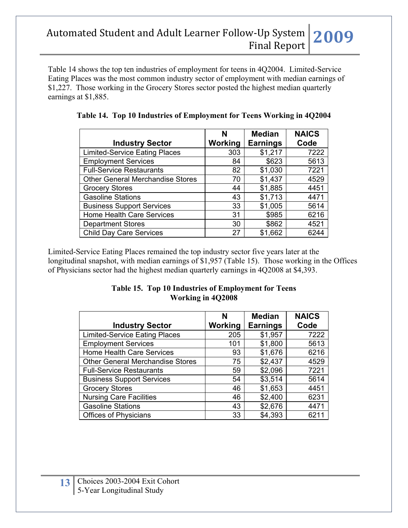Table 14 shows the top ten industries of employment for teens in 4Q2004. Limited-Service Eating Places was the most common industry sector of employment with median earnings of \$1,227. Those working in the Grocery Stores sector posted the highest median quarterly earnings at \$1,885.

|                                         | N       | <b>Median</b>   | <b>NAICS</b> |
|-----------------------------------------|---------|-----------------|--------------|
| <b>Industry Sector</b>                  | Working | <b>Earnings</b> | Code         |
| <b>Limited-Service Eating Places</b>    | 303     | \$1,217         | 7222         |
| <b>Employment Services</b>              | 84      | \$623           | 5613         |
| <b>Full-Service Restaurants</b>         | 82      | \$1,030         | 7221         |
| <b>Other General Merchandise Stores</b> | 70      | \$1,437         | 4529         |
| <b>Grocery Stores</b>                   | 44      | \$1,885         | 4451         |
| <b>Gasoline Stations</b>                | 43      | \$1,713         | 4471         |
| <b>Business Support Services</b>        | 33      | \$1,005         | 5614         |
| Home Health Care Services               | 31      | \$985           | 6216         |
| <b>Department Stores</b>                | 30      | \$862           | 4521         |
| <b>Child Day Care Services</b>          | 27      | \$1,662         | 6244         |

**Table 14. Top 10 Industries of Employment for Teens Working in 4Q2004** 

Limited-Service Eating Places remained the top industry sector five years later at the longitudinal snapshot, with median earnings of \$1,957 (Table 15). Those working in the Offices of Physicians sector had the highest median quarterly earnings in 4Q2008 at \$4,393.

#### **Table 15. Top 10 Industries of Employment for Teens Working in 4Q2008**

|                                         | N              | <b>Median</b>   | <b>NAICS</b> |
|-----------------------------------------|----------------|-----------------|--------------|
| <b>Industry Sector</b>                  | <b>Working</b> | <b>Earnings</b> | Code         |
| <b>Limited-Service Eating Places</b>    | 205            | \$1,957         | 7222         |
| <b>Employment Services</b>              | 101            | \$1,800         | 5613         |
| Home Health Care Services               | 93             | \$1,676         | 6216         |
| <b>Other General Merchandise Stores</b> | 75             | \$2,437         | 4529         |
| <b>Full-Service Restaurants</b>         | 59             | \$2,096         | 7221         |
| <b>Business Support Services</b>        | 54             | \$3,514         | 5614         |
| <b>Grocery Stores</b>                   | 46             | \$1,653         | 4451         |
| <b>Nursing Care Facilities</b>          | 46             | \$2,400         | 6231         |
| <b>Gasoline Stations</b>                | 43             | \$2,676         | 4471         |
| <b>Offices of Physicians</b>            | 33             | \$4,393         | 6211         |